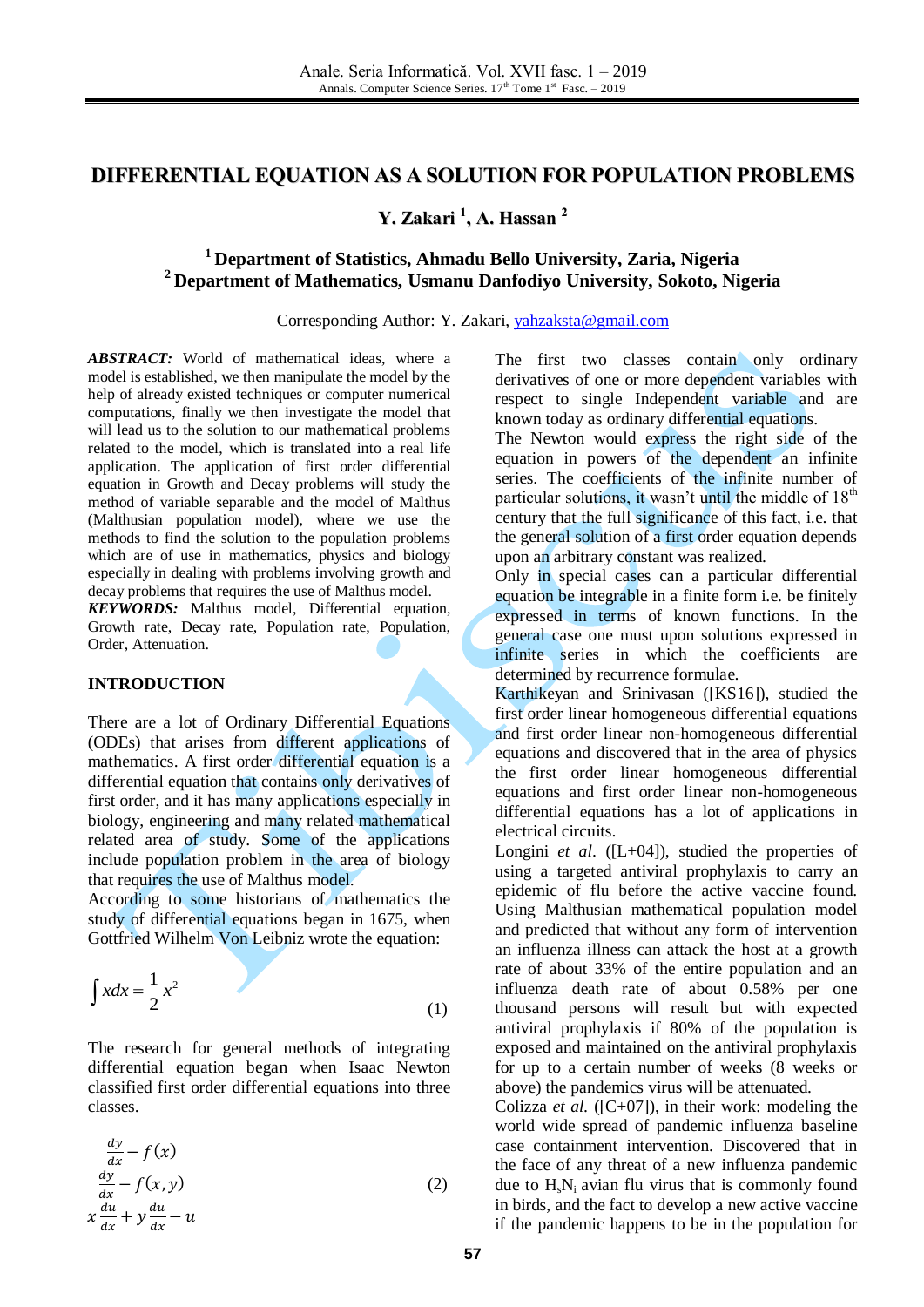# **DIFFERENTIAL EQUATION AS A SOLUTION FOR POPULATION PROBLEMS**

**Y. Zakari 1 , A. Hassan 2**

# **<sup>1</sup> Department of Statistics, Ahmadu Bello University, Zaria, Nigeria <sup>2</sup> Department of Mathematics, Usmanu Danfodiyo University, Sokoto, Nigeria**

Corresponding Author: Y. Zakari, [yahzaksta@gmail.com](mailto:yahzaksta@gmail.com)

*ABSTRACT:* World of mathematical ideas, where a model is established, we then manipulate the model by the help of already existed techniques or computer numerical computations, finally we then investigate the model that will lead us to the solution to our mathematical problems related to the model, which is translated into a real life application. The application of first order differential equation in Growth and Decay problems will study the method of variable separable and the model of Malthus (Malthusian population model), where we use the methods to find the solution to the population problems which are of use in mathematics, physics and biology especially in dealing with problems involving growth and decay problems that requires the use of Malthus model.

*KEYWORDS:* Malthus model, Differential equation, Growth rate, Decay rate, Population rate, Population, Order, Attenuation.

### **INTRODUCTION**

There are a lot of Ordinary Differential Equations (ODEs) that arises from different applications of mathematics. A first order differential equation is a differential equation that contains only derivatives of first order, and it has many applications especially in biology, engineering and many related mathematical related area of study. Some of the applications include population problem in the area of biology that requires the use of Malthus model.

According to some historians of mathematics the study of differential equations began in 1675, when Gottfried Wilhelm Von Leibniz wrote the equation:

$$
\int x dx = \frac{1}{2} x^2 \tag{1}
$$

The research for general methods of integrating differential equation began when Isaac Newton classified first order differential equations into three classes.

$$
\frac{dy}{dx} - f(x)
$$
  
\n
$$
\frac{dy}{dx} - f(x, y)
$$
  
\n
$$
x\frac{du}{dx} + y\frac{du}{dx} - u
$$
\n(2)

The first two classes contain only ordinary derivatives of one or more dependent variables with respect to single Independent variable and are known today as ordinary differential equations.

The Newton would express the right side of the equation in powers of the dependent an infinite series. The coefficients of the infinite number of particular solutions, it wasn't until the middle of  $18<sup>th</sup>$ century that the full significance of this fact, i.e. that the general solution of a first order equation depends upon an arbitrary constant was realized.

Only in special cases can a particular differential equation be integrable in a finite form i.e. be finitely expressed in terms of known functions. In the general case one must upon solutions expressed in infinite series in which the coefficients are determined by recurrence formulae.

Karthikeyan and Srinivasan ([KS16]), studied the first order linear homogeneous differential equations and first order linear non-homogeneous differential equations and discovered that in the area of physics the first order linear homogeneous differential equations and first order linear non-homogeneous differential equations has a lot of applications in electrical circuits.

Longini *et al.* ([L+04]), studied the properties of using a targeted antiviral prophylaxis to carry an epidemic of flu before the active vaccine found. Using Malthusian mathematical population model and predicted that without any form of intervention an influenza illness can attack the host at a growth rate of about 33% of the entire population and an influenza death rate of about 0.58% per one thousand persons will result but with expected antiviral prophylaxis if 80% of the population is exposed and maintained on the antiviral prophylaxis for up to a certain number of weeks (8 weeks or above) the pandemics virus will be attenuated.

Colizza *et al.* ( $[C+07]$ ), in their work: modeling the world wide spread of pandemic influenza baseline case containment intervention. Discovered that in the face of any threat of a new influenza pandemic due to  $H_sN_i$  avian flu virus that is commonly found in birds, and the fact to develop a new active vaccine if the pandemic happens to be in the population for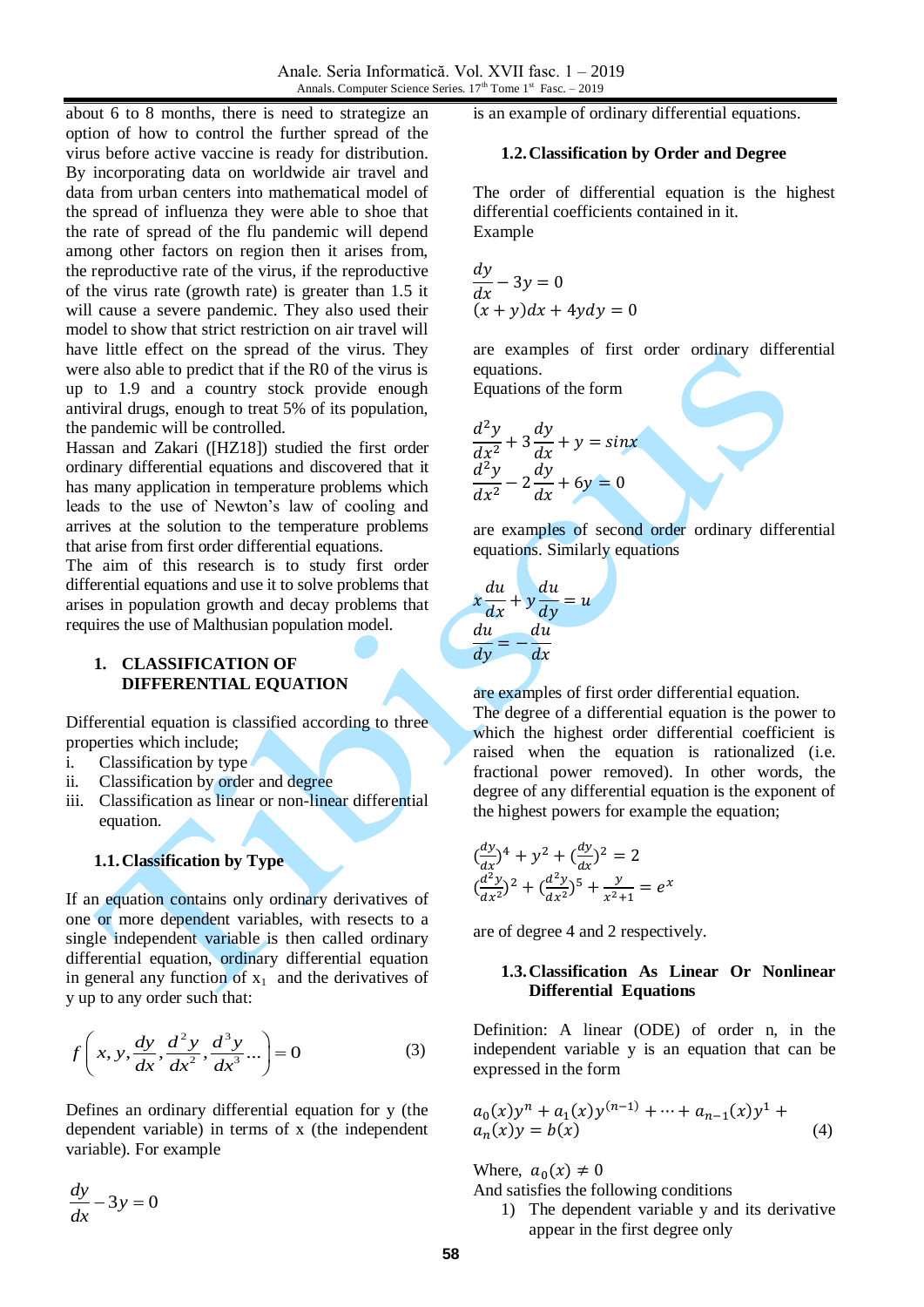about 6 to 8 months, there is need to strategize an option of how to control the further spread of the virus before active vaccine is ready for distribution. By incorporating data on worldwide air travel and data from urban centers into mathematical model of the spread of influenza they were able to shoe that the rate of spread of the flu pandemic will depend among other factors on region then it arises from, the reproductive rate of the virus, if the reproductive of the virus rate (growth rate) is greater than 1.5 it will cause a severe pandemic. They also used their model to show that strict restriction on air travel will have little effect on the spread of the virus. They were also able to predict that if the R0 of the virus is up to 1.9 and a country stock provide enough antiviral drugs, enough to treat 5% of its population, the pandemic will be controlled.

Hassan and Zakari ([HZ18]) studied the first order ordinary differential equations and discovered that it has many application in temperature problems which leads to the use of Newton's law of cooling and arrives at the solution to the temperature problems that arise from first order differential equations.

The aim of this research is to study first order differential equations and use it to solve problems that arises in population growth and decay problems that requires the use of Malthusian population model.

## **1. CLASSIFICATION OF DIFFERENTIAL EQUATION**

Differential equation is classified according to three properties which include;

- i. Classification by type
- ii. Classification by order and degree
- iii. Classification as linear or non-linear differential equation.

# **1.1.Classification by Type**

If an equation contains only ordinary derivatives of one or more dependent variables, with resects to a single independent variable is then called ordinary differential equation, ordinary differential equation in general any function of  $x_1$  and the derivatives of y up to any order such that:

$$
f\left(x, y, \frac{dy}{dx}, \frac{d^2y}{dx^2}, \frac{d^3y}{dx^3}...\right) = 0
$$
 (3)

Defines an ordinary differential equation for y (the dependent variable) in terms of x (the independent variable). For example

 $\frac{dy}{dx} - 3y = 0$ *dx*  $-3y =$ 

is an example of ordinary differential equations.

#### **1.2.Classification by Order and Degree**

The order of differential equation is the highest differential coefficients contained in it. Example

$$
\frac{dy}{dx} - 3y = 0
$$
  
(x + y)dx + 4ydy = 0

are examples of first order ordinary differential equations.

Equations of the form

$$
\frac{d^2y}{dx^2} + 3\frac{dy}{dx} + y = \sin x
$$

$$
\frac{d^2y}{dx^2} - 2\frac{dy}{dx} + 6y = 0
$$

are examples of second order ordinary differential equations. Similarly equations

$$
x\frac{du}{dx} + y\frac{du}{dy} = u
$$

$$
\frac{du}{dy} = -\frac{du}{dx}
$$

are examples of first order differential equation.

The degree of a differential equation is the power to which the highest order differential coefficient is raised when the equation is rationalized (i.e. fractional power removed). In other words, the degree of any differential equation is the exponent of the highest powers for example the equation;

$$
\left(\frac{dy}{dx}\right)^4 + y^2 + \left(\frac{dy}{dx}\right)^2 = 2
$$
  

$$
\left(\frac{d^2y}{dx^2}\right)^2 + \left(\frac{d^2y}{dx^2}\right)^5 + \frac{y}{x^2 + 1} = e^x
$$

are of degree 4 and 2 respectively.

#### **1.3.Classification As Linear Or Nonlinear Differential Equations**

Definition: A linear (ODE) of order n, in the independent variable y is an equation that can be expressed in the form

$$
a_0(x)y^n + a_1(x)y^{(n-1)} + \dots + a_{n-1}(x)y^1 + a_n(x)y = b(x)
$$
\n(4)

Where,  $a_0(x) \neq 0$ 

And satisfies the following conditions

1) The dependent variable y and its derivative appear in the first degree only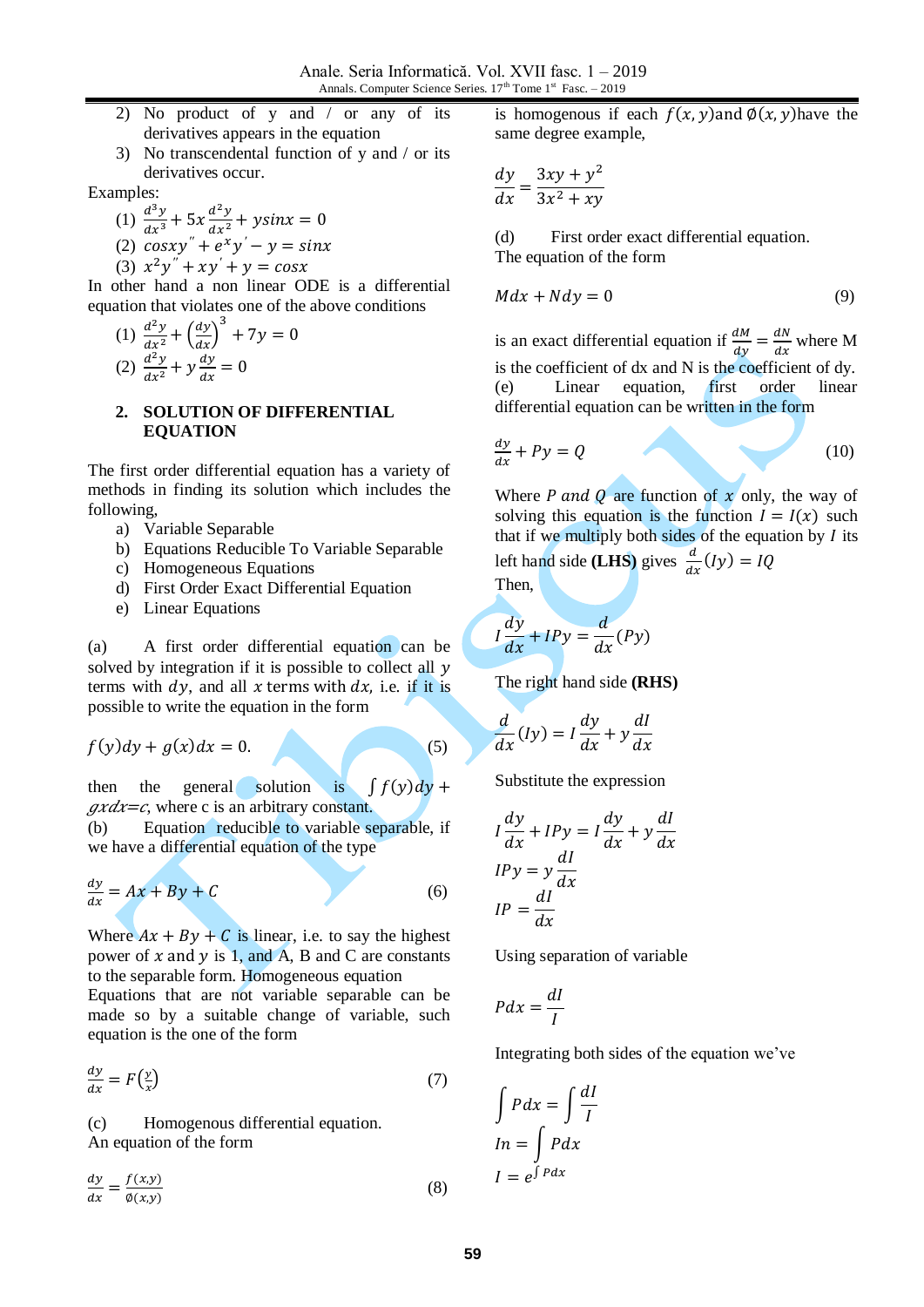- 2) No product of y and / or any of its derivatives appears in the equation
- 3) No transcendental function of y and / or its derivatives occur.

Examples:

- (1)  $\frac{d^3}{4}$  $dx^3$  $d^2$  $dx^2$
- (2)  $cosxy'' + e^{xy'}$
- (3)  $x^2y'' + xy'$

In other hand a non linear ODE is a differential equation that violates one of the above conditions

(1) 
$$
\frac{d^2y}{dx^2} + \left(\frac{dy}{dx}\right)^3 + 7y = 0
$$
  
(2) 
$$
\frac{d^2y}{dx^2} + y\frac{dy}{dx} = 0
$$

#### **2. SOLUTION OF DIFFERENTIAL EQUATION**

The first order differential equation has a variety of methods in finding its solution which includes the following,

- a) Variable Separable
- b) Equations Reducible To Variable Separable
- c) Homogeneous Equations
- d) First Order Exact Differential Equation
- e) Linear Equations

(a) A first order differential equation can be solved by integration if it is possible to collect all  $y$ terms with  $dy$ , and all x terms with  $dx$ , i.e. if it is possible to write the equation in the form

 $f(y)dy + g(x)dx = 0.$  (5)

then the general solution is  $\int f(y) dy$  +  $\mathit{grad} x = c$ , where c is an arbitrary constant.

(b) Equation reducible to variable separable, if we have a differential equation of the type

$$
\frac{dy}{dx} = Ax + By + C \tag{6}
$$

Where  $Ax + By + C$  is linear, i.e. to say the highest power of  $x$  and  $y$  is 1, and A, B and C are constants to the separable form. Homogeneous equation

Equations that are not variable separable can be made so by a suitable change of variable, such equation is the one of the form

$$
\frac{dy}{dx} = F\left(\frac{y}{x}\right) \tag{7}
$$

(c) Homogenous differential equation. An equation of the form

 $\boldsymbol{d}$  $\frac{dy}{dx} = \frac{f}{\phi}$ Ø (8) is homogenous if each  $f(x, y)$  and  $\phi(x, y)$  have the same degree example,

$$
\frac{dy}{dx} = \frac{3xy + y^2}{3x^2 + xy}
$$

(d) First order exact differential equation. The equation of the form

$$
Mdx + Ndy = 0 \tag{9}
$$

is an exact differential equation if  $\frac{dM}{dy} = \frac{d}{dt}$  $\frac{du}{dx}$  where M is the coefficient of dx and N is the coefficient of dy. (e) Linear equation, first order linear differential equation can be written in the form

$$
\frac{dy}{dx} + Py = Q \tag{10}
$$

Where P and Q are function of  $x$  only, the way of solving this equation is the function  $I = I(x)$  such that if we multiply both sides of the equation by  $I$  its left hand side **(LHS)** gives  $\frac{a}{dx}$  **(** 

Then,

$$
I\frac{dy}{dx} + IPy = \frac{d}{dx}(Py)
$$

The right hand side **(RHS)**

$$
\frac{d}{dx}(Iy) = I\frac{dy}{dx} + y\frac{dI}{dx}
$$

Substitute the expression

$$
I\frac{dy}{dx} + IPy = I\frac{dy}{dx} + y\frac{dI}{dx}
$$
  
\n
$$
IPy = y\frac{dI}{dx}
$$
  
\n
$$
IP = \frac{dI}{dx}
$$

Using separation of variable

$$
Pdx = \frac{dI}{I}
$$

Integrating both sides of the equation we've

$$
\int Pdx = \int \frac{dl}{I}
$$

$$
In = \int Pdx
$$

$$
I = e^{\int Pdx}
$$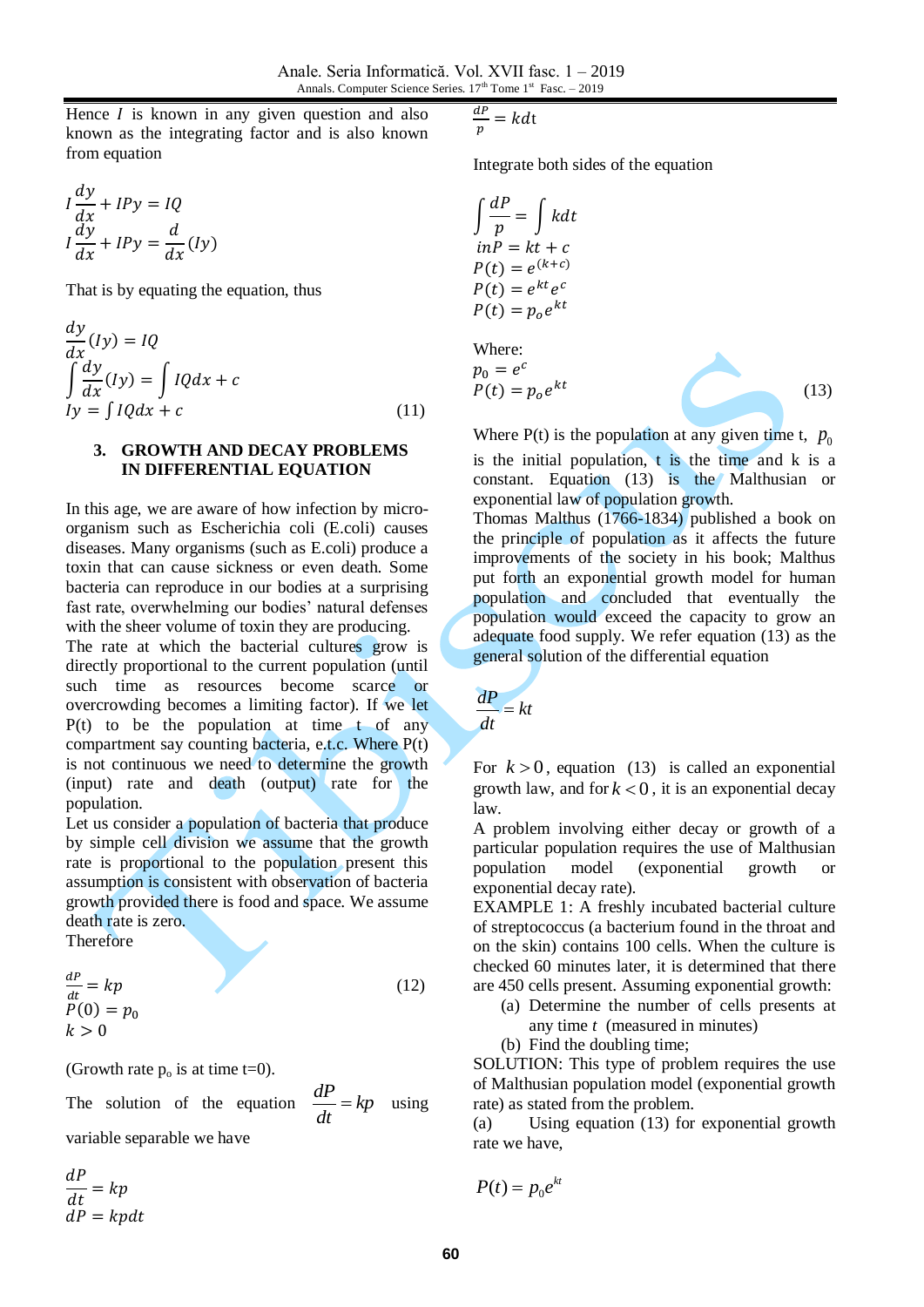Hence  $I$  is known in any given question and also known as the integrating factor and is also known from equation

$$
I\frac{dy}{dx} + IPy = IQ
$$
  

$$
I\frac{dy}{dx} + IPy = \frac{d}{dx}(Iy)
$$

That is by equating the equation, thus

$$
\frac{dy}{dx}(Iy) = IQ
$$
  
\n
$$
\int \frac{dy}{dx}(Iy) = \int IQdx + c
$$
  
\n
$$
Iy = \int IQdx + c
$$
\n(11)

## **3. GROWTH AND DECAY PROBLEMS IN DIFFERENTIAL EQUATION**

In this age, we are aware of how infection by microorganism such as Escherichia coli (E.coli) causes diseases. Many organisms (such as E.coli) produce a toxin that can cause sickness or even death. Some bacteria can reproduce in our bodies at a surprising fast rate, overwhelming our bodies' natural defenses with the sheer volume of toxin they are producing.

The rate at which the bacterial cultures grow is directly proportional to the current population (until such time as resources become scarce or overcrowding becomes a limiting factor). If we let  $P(t)$  to be the population at time t of any compartment say counting bacteria, e.t.c. Where P(t) is not continuous we need to determine the growth (input) rate and death (output) rate for the population.

Let us consider a population of bacteria that produce by simple cell division we assume that the growth rate is proportional to the population present this assumption is consistent with observation of bacteria growth provided there is food and space. We assume death rate is zero.

Therefore

$$
\frac{dP}{dt} = kp
$$
  
P(0) = p<sub>0</sub>  
 $k > 0$  (12)

(Growth rate  $p_0$  is at time t=0).

The solution of the equation  $\frac{dP}{dx} = kp$ *dt*  $= kp$  using variable separable we have

$$
\frac{dP}{dt} = kp
$$
  

$$
dP = kpdt
$$

$$
\frac{dP}{p} = kdt
$$

Integrate both sides of the equation

$$
\int \frac{dP}{p} = \int kdt
$$
  
inP = kt + c  
P(t) = e<sup>(k+c)</sup>  
P(t) = e<sup>kt</sup>e<sup>c</sup>  
P(t) = p<sub>0</sub>e<sup>kt</sup>

Where:  
\n
$$
p_0 = e^c
$$
\n
$$
P(t) = p_0 e^{kt}
$$
\n(13)

Where  $P(t)$  is the population at any given time t,  $p_0$ is the initial population, t is the time and k is a constant. Equation (13) is the Malthusian or exponential law of population growth.

Thomas Malthus (1766-1834) published a book on the principle of population as it affects the future improvements of the society in his book; Malthus put forth an exponential growth model for human population and concluded that eventually the population would exceed the capacity to grow an adequate food supply. We refer equation (13) as the general solution of the differential equation

$$
\frac{dP}{dt} = kt
$$

For  $k > 0$ , equation (13) is called an exponential growth law, and for  $k < 0$ , it is an exponential decay law.

A problem involving either decay or growth of a particular population requires the use of Malthusian population model (exponential growth or exponential decay rate).

EXAMPLE 1: A freshly incubated bacterial culture of streptococcus (a bacterium found in the throat and on the skin) contains 100 cells. When the culture is checked 60 minutes later, it is determined that there are 450 cells present. Assuming exponential growth:

- (a) Determine the number of cells presents at any time *t* (measured in minutes)
- (b) Find the doubling time;

SOLUTION: This type of problem requires the use of Malthusian population model (exponential growth rate) as stated from the problem.

(a) Using equation (13) for exponential growth rate we have,

$$
P(t) = p_0 e^{kt}
$$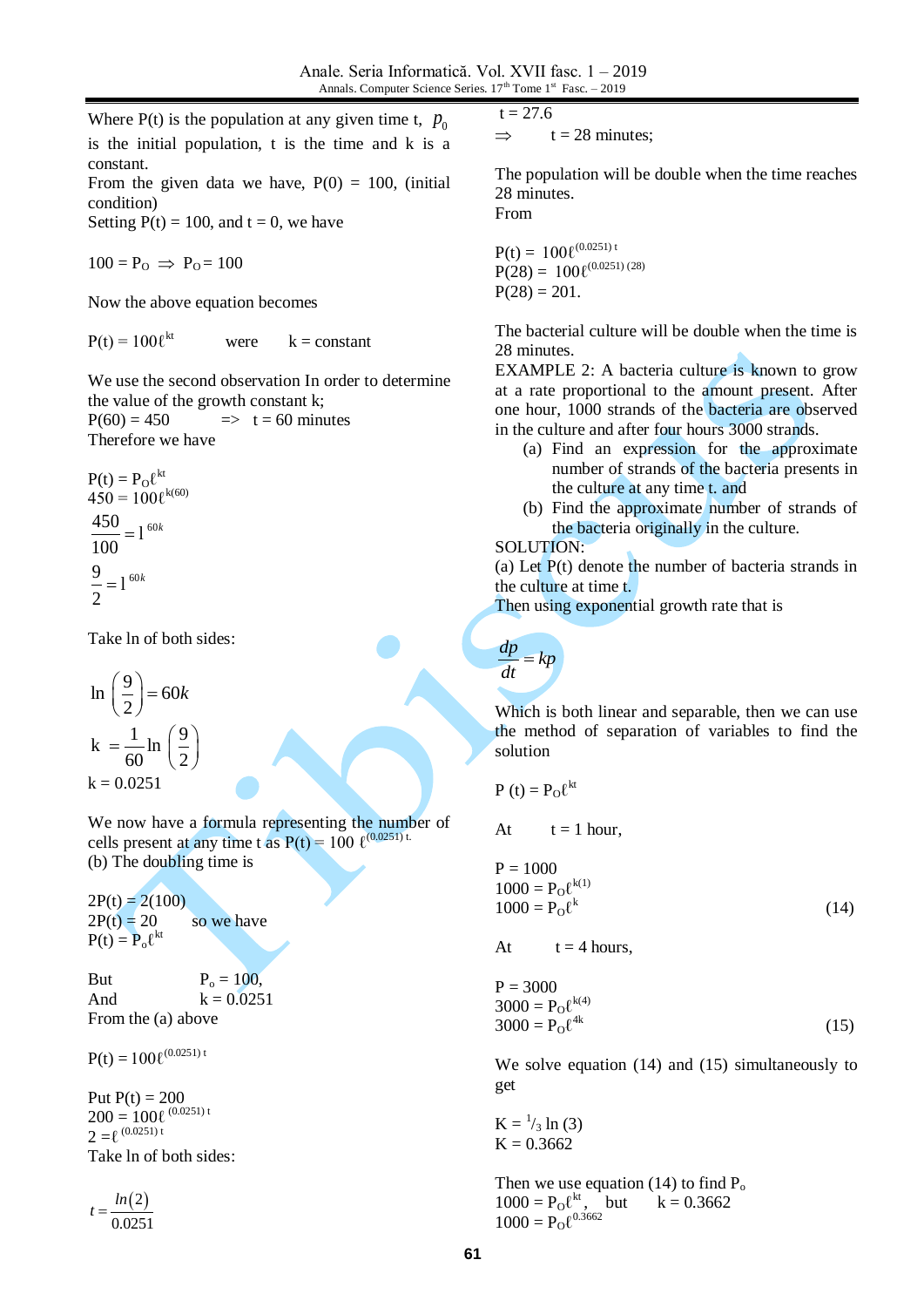Where  $P(t)$  is the population at any given time t,  $p_0$ is the initial population, t is the time and k is a constant.

From the given data we have,  $P(0) = 100$ , (initial condition)

Setting  $P(t) = 100$ , and  $t = 0$ , we have

 $100 = P_{\Omega} \Rightarrow P_{\Omega} = 100$ 

Now the above equation becomes

 $P(t) = 100 \ell^{kt}$ were  $k = constant$ 

We use the second observation In order to determine the value of the growth constant k;

 $P(60) = 450$   $\implies$  t = 60 minutes Therefore we have

$$
P(t) = P_0 \ell^{kt}
$$
  
\n
$$
450 = 100 \ell^{k(60)}
$$
  
\n
$$
\frac{450}{100} = 1^{60k}
$$
  
\n
$$
\frac{9}{2} = 1^{60k}
$$

Take ln of both sides:

 $\ln\left(\frac{9}{5}\right) = 60$ 2  $\left(\frac{9}{2}\right)$  = 60k  $k = \frac{1}{10} \ln \left( \frac{9}{2} \right)$  $60$ <sup>"</sup>  $\frac{2}{2}$  $=\frac{1}{60}$  ln  $\left(\frac{9}{2}\right)$  $k = 0.0251$ 

We now have a formula representing the number of cells present at any time t as  $P(t) = 100 \ \ell^{(0.0251) t}$ . (b) The doubling time is

 $2P(t) = 2(100)$  $2P(t) = 20$  so we have  $P(t) = P_0 \ell^{kt}$ 

But  $P_0 = 100$ , And  $k = 0.0251$ From the (a) above

 $P(t) = 100 \ell^{(0.0251) t}$ 

Put  $P(t) = 200$  $200 = 100\ell^{(0.0251)t}$  $2 = \ell^{(0.0251) t}$ Take ln of both sides:

 $(2)$ 0.0251  $t = \frac{\ln \ln \frac{1}{2}}{1}$ 

 $t = 27.6$ 

 $\implies$  t = 28 minutes:

The population will be double when the time reaches 28 minutes. From

 $P(t) = 100 \ell^{(0.0251) t}$  $P(28) = 100\ell^{(0.0251)(28)}$  $P(28) = 201$ .

The bacterial culture will be double when the time is 28 minutes.

EXAMPLE 2: A bacteria culture is known to grow at a rate proportional to the amount present. After one hour, 1000 strands of the bacteria are observed in the culture and after four hours 3000 strands.

- (a) Find an expression for the approximate number of strands of the bacteria presents in the culture at any time t. and
- (b) Find the approximate number of strands of the bacteria originally in the culture.

## SOLUTION:

(a) Let P(t) denote the number of bacteria strands in the culture at time t.

Then using exponential growth rate that is

$$
\frac{dp}{dt} = kp
$$

Which is both linear and separable, then we can use the method of separation of variables to find the solution

$$
P(t) = P_O \ell^{kt}
$$

At  $t = 1$  hour,

 $P = 1000$  $1000 = P_0 \ell^{k(1)}$  $1000 = P_0 \ell^k$ (14)

At  $t = 4$  hours,

$$
P = 30003000 = P0 \ellk(4)3000 = P0 \ell4k
$$
 (15)

We solve equation (14) and (15) simultaneously to get

 $K = \frac{1}{3} \ln(3)$  $K = 0.3662$ 

Then we use equation (14) to find  $P_0$  $1000 = P_0 \ell^{kt}$ , but  $k = 0.3662$  $1000 = P_0 \ell^{0.3662}$